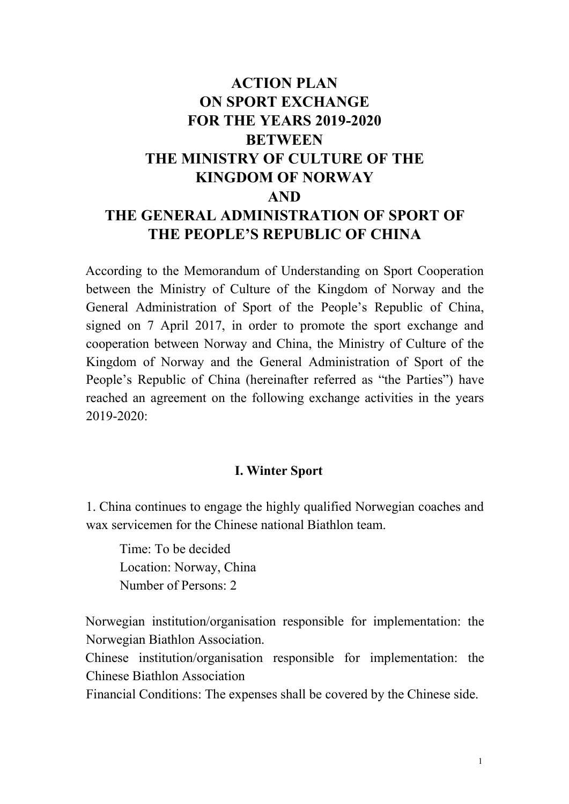# **ACTION PLAN ON SPORT EXCHANGE FOR THE YEARS 2019-2020 BETWEEN THE MINISTRY OF CULTURE OF THE KINGDOM OF NORWAY AND THE GENERAL ADMINISTRATION OF SPORT OF THE PEOPLE'S REPUBLIC OF CHINA**

According to the Memorandum of Understanding on Sport Cooperation between the Ministry of Culture of the Kingdom of Norway and the General Administration of Sport of the People's Republic of China, signed on 7 April 2017, in order to promote the sport exchange and cooperation between Norway and China, the Ministry of Culture of the Kingdom of Norway and the General Administration of Sport of the People's Republic of China (hereinafter referred as "the Parties") have reached an agreement on the following exchange activities in the years 2019-2020:

#### **I. Winter Sport**

1. China continues to engage the highly qualified Norwegian coaches and wax servicemen for the Chinese national Biathlon team.

Time: To be decided Location: Norway, China Number of Persons: 2

Norwegian institution/organisation responsible for implementation: the Norwegian Biathlon Association.

Chinese institution/organisation responsible for implementation: the Chinese Biathlon Association

Financial Conditions: The expenses shall be covered by the Chinese side.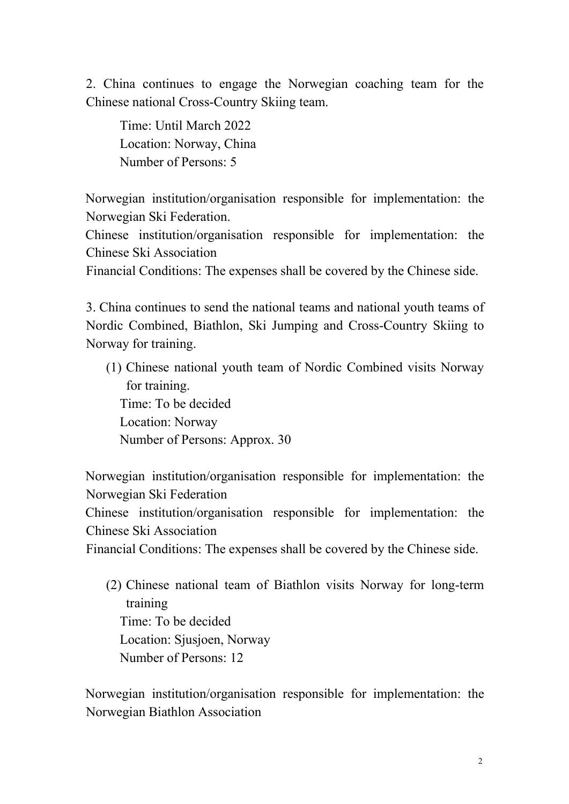2. China continues to engage the Norwegian coaching team for the Chinese national Cross-Country Skiing team.

Time: Until March 2022 Location: Norway, China Number of Persons: 5

Norwegian institution/organisation responsible for implementation: the Norwegian Ski Federation.

Chinese institution/organisation responsible for implementation: the Chinese Ski Association

Financial Conditions: The expenses shall be covered by the Chinese side.

3. China continues to send the national teams and national youth teams of Nordic Combined, Biathlon, Ski Jumping and Cross-Country Skiing to Norway for training.

(1) Chinese national youth team of Nordic Combined visits Norway for training. Time: To be decided Location: Norway Number of Persons: Approx. 30

Norwegian institution/organisation responsible for implementation: the Norwegian Ski Federation Chinese institution/organisation responsible for implementation: the Chinese Ski Association

Financial Conditions: The expenses shall be covered by the Chinese side.

(2) Chinese national team of Biathlon visits Norway for long-term training Time: To be decided Location: Sjusjoen, Norway Number of Persons: 12

Norwegian institution/organisation responsible for implementation: the Norwegian Biathlon Association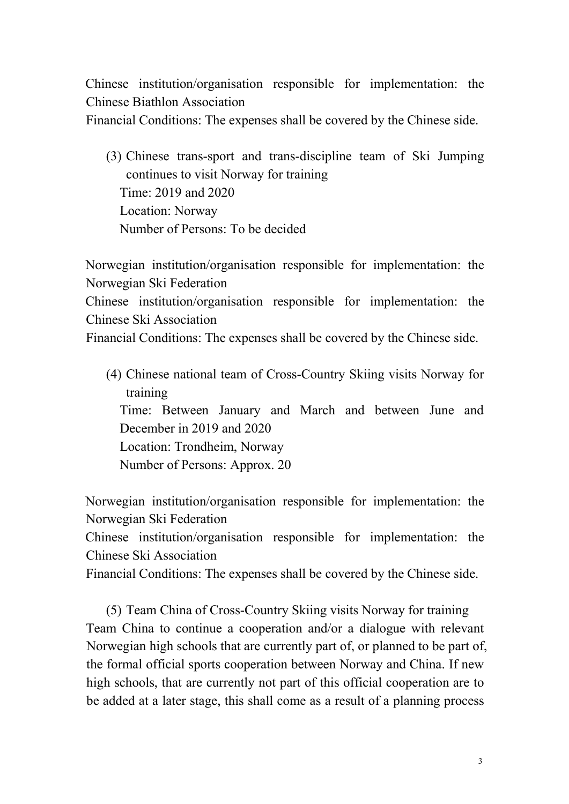Chinese institution/organisation responsible for implementation: the Chinese Biathlon Association

Financial Conditions: The expenses shall be covered by the Chinese side.

(3) Chinese trans-sport and trans-discipline team of Ski Jumping continues to visit Norway for training Time: 2019 and 2020 Location: Norway Number of Persons: To be decided

Norwegian institution/organisation responsible for implementation: the Norwegian Ski Federation Chinese institution/organisation responsible for implementation: the Chinese Ski Association Financial Conditions: The expenses shall be covered by the Chinese side.

(4) Chinese national team of Cross-Country Skiing visits Norway for training Time: Between January and March and between June and December in 2019 and 2020 Location: Trondheim, Norway Number of Persons: Approx. 20

Norwegian institution/organisation responsible for implementation: the Norwegian Ski Federation Chinese institution/organisation responsible for implementation: the

Chinese Ski Association

Financial Conditions: The expenses shall be covered by the Chinese side.

(5) Team China of Cross-Country Skiing visits Norway for training Team China to continue a cooperation and/or a dialogue with relevant Norwegian high schools that are currently part of, or planned to be part of, the formal official sports cooperation between Norway and China. If new high schools, that are currently not part of this official cooperation are to be added at a later stage, this shall come as a result of a planning process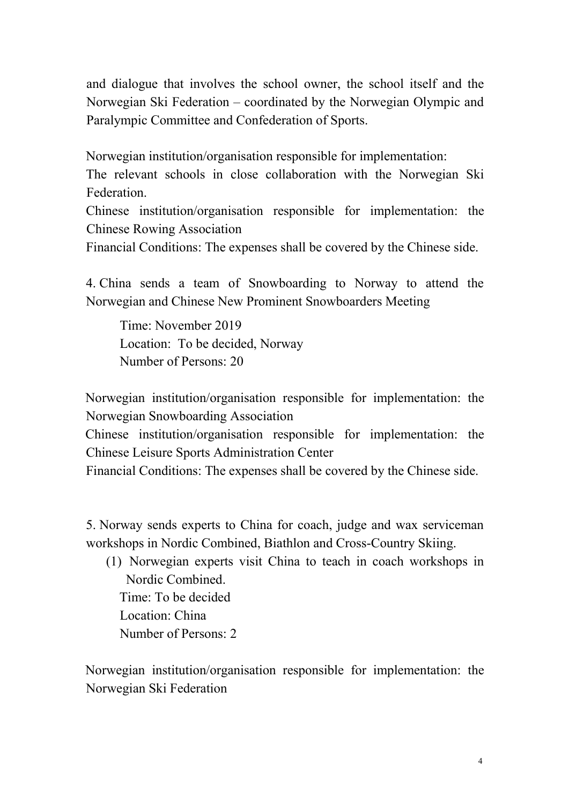and dialogue that involves the school owner, the school itself and the Norwegian Ski Federation – coordinated by the Norwegian Olympic and Paralympic Committee and Confederation of Sports.

Norwegian institution/organisation responsible for implementation:

The relevant schools in close collaboration with the Norwegian Ski Federation.

Chinese institution/organisation responsible for implementation: the Chinese Rowing Association

Financial Conditions: The expenses shall be covered by the Chinese side.

4. China sends a team of Snowboarding to Norway to attend the Norwegian and Chinese New Prominent Snowboarders Meeting

Time: November 2019 Location: To be decided, Norway Number of Persons: 20

Norwegian institution/organisation responsible for implementation: the Norwegian Snowboarding Association

Chinese institution/organisation responsible for implementation: the Chinese Leisure Sports Administration Center

Financial Conditions: The expenses shall be covered by the Chinese side.

5. Norway sends experts to China for coach, judge and wax serviceman workshops in Nordic Combined, Biathlon and Cross-Country Skiing.

(1) Norwegian experts visitChina to teach in coach workshops in Nordic Combined. Time: To be decided

Location: China

Number of Persons: 2

Norwegian institution/organisation responsible for implementation: the Norwegian Ski Federation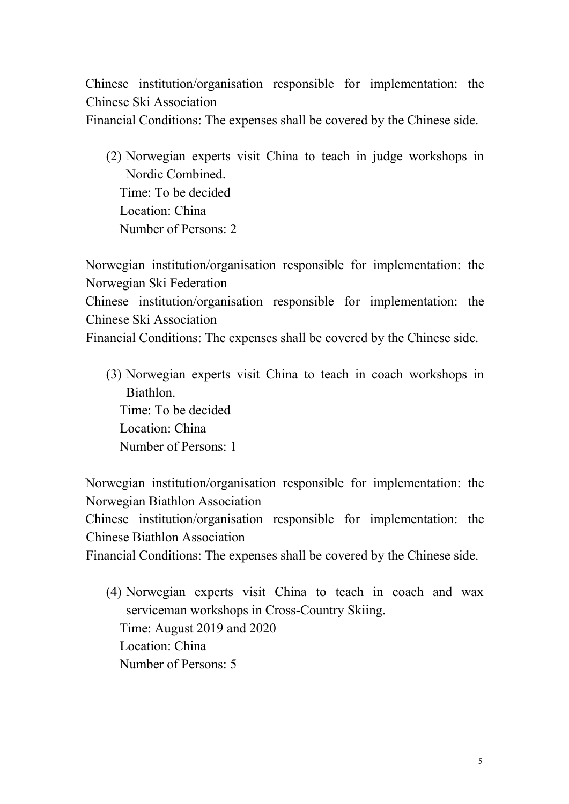Chinese institution/organisation responsible for implementation: the Chinese Ski Association Financial Conditions: The expenses shall be covered by the Chinese side.

(2) Norwegian experts visit China to teach in judge workshops in Nordic Combined. Time: To be decided Location: China Number of Persons: 2

Norwegian institution/organisation responsible for implementation: the Norwegian Ski Federation Chinese institution/organisation responsible for implementation: the Chinese Ski Association Financial Conditions: The expenses shall be covered by the Chinese side.

(3) Norwegian experts visit China to teach in coach workshops in Biathlon. Time: To be decided Location: China Number of Persons: 1

Norwegian institution/organisation responsible for implementation: the Norwegian Biathlon Association Chinese institution/organisation responsible for implementation: the Chinese Biathlon Association Financial Conditions: The expenses shall be covered by the Chinese side.

(4) Norwegian experts visit China to teach in coach and wax serviceman workshops in Cross-Country Skiing. Time: August 2019 and 2020 Location: China Number of Persons: 5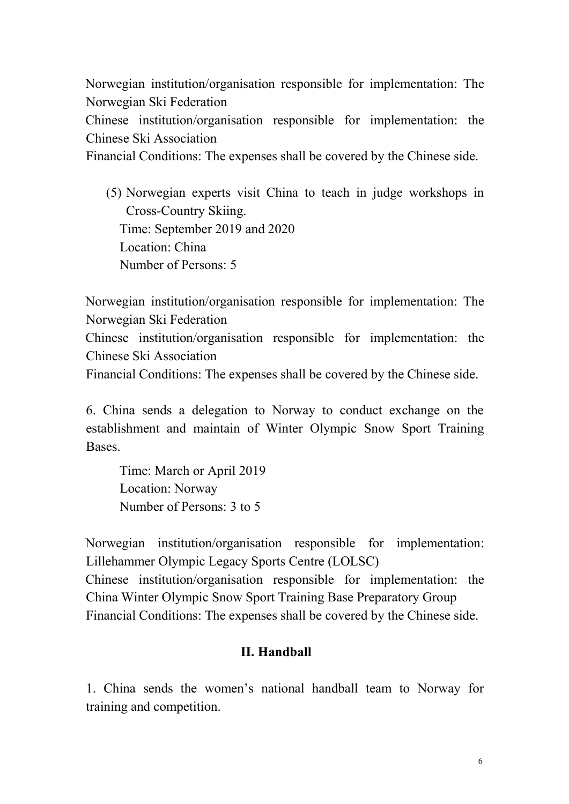Norwegian institution/organisation responsible for implementation: The Norwegian Ski Federation

Chinese institution/organisation responsible for implementation: the Chinese Ski Association

Financial Conditions: The expenses shall be covered by the Chinese side.

(5) Norwegian experts visit China to teach in judge workshops in Cross-Country Skiing. Time: September 2019 and 2020 Location: China Number of Persons: 5

Norwegian institution/organisation responsible for implementation: The Norwegian Ski Federation

Chinese institution/organisation responsible for implementation: the Chinese Ski Association

Financial Conditions: The expenses shall be covered by the Chinese side.

6. China sends a delegation to Norway to conduct exchange on the establishment and maintain of Winter Olympic Snow Sport Training Bases.<br>Time: March or April 2019

Location: Norway Number of Persons: 3 to 5

Norwegian institution/organisation responsible for implementation: Lillehammer Olympic Legacy Sports Centre (LOLSC) Chinese institution/organisation responsible for implementation: the China Winter Olympic Snow Sport Training Base Preparatory Group Financial Conditions: The expenses shall be covered by the Chinese side.

#### **II. Handball**

1. China sends the women's national handball team to Norway for training and competition.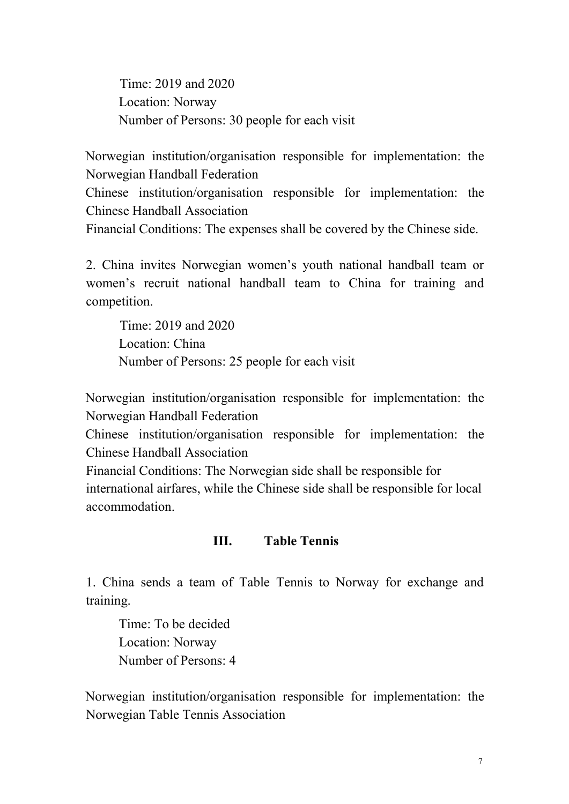Time: 2019 and 2020 Location: Norway Number of Persons: 30 people for each visit

Norwegian institution/organisation responsible for implementation: the Norwegian Handball Federation

Chinese institution/organisation responsible for implementation: the Chinese Handball Association

Financial Conditions: The expenses shall be covered by the Chinese side.

2. China invites Norwegian women's youth national handball team or women's recruit national handball team to China for training and competition.

Time: 2019 and 2020 Location: China Number of Persons: 25 people for each visit

Norwegian institution/organisation responsible for implementation: the Norwegian Handball Federation

Chinese institution/organisation responsible for implementation: the Chinese Handball Association

Financial Conditions: The Norwegian side shall be responsible for international airfares, while the Chinese side shall be responsible for local accommodation.

#### **III. Table Tennis**

1. China sends a team of Table Tennis to Norway for exchange and training.

Time: To be decided Location: Norway Number of Persons: 4

Norwegian institution/organisation responsible for implementation: the Norwegian Table Tennis Association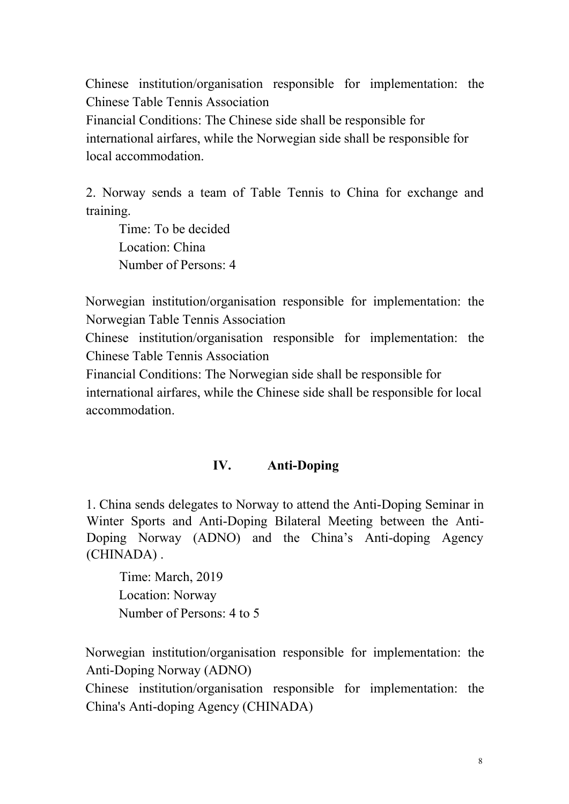Chinese institution/organisation responsible for implementation: the Chinese Table Tennis Association Financial Conditions: The Chinese side shall be responsible for international airfares, while the Norwegian side shall be responsible for local accommodation.

2. Norway sends a team of Table Tennis to China for exchange and training.

Time: To be decided Location: China Number of Persons: 4

Norwegian institution/organisation responsible for implementation: the Norwegian Table Tennis Association

Chinese institution/organisation responsible for implementation: the Chinese Table Tennis Association

Financial Conditions: The Norwegian side shall be responsible for international airfares, while the Chinese side shall be responsible for local accommodation.

#### **IV. Anti-Doping**

1. China sends delegates to Norway to attend the Anti-Doping Seminar in Winter Sports and Anti-Doping Bilateral Meeting between the Anti- Doping Norway (ADNO) and the China's Anti-doping Agency (CHINADA) .

Time: March, 2019 Location: Norway Number of Persons: 4 to 5

Norwegian institution/organisation responsible for implementation: the Anti-Doping Norway (ADNO)

Chinese institution/organisation responsible for implementation: the China's Anti-doping Agency (CHINADA)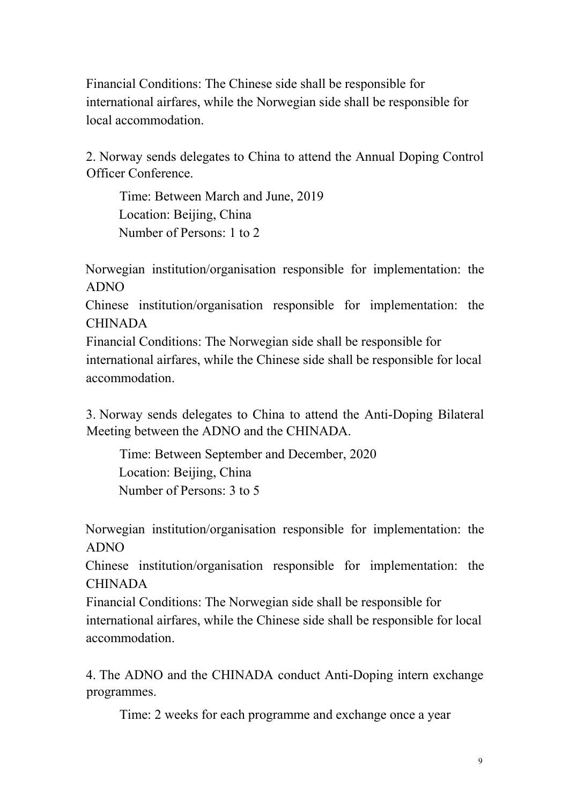Financial Conditions: The Chinese side shall be responsible for international airfares, while the Norwegian side shall be responsible for local accommodation.

2. Norway sends delegates to China to attend the Annual Doping Control Officer Conference.

Time: Between March and June, 2019 Location: Beijing, China Number of Persons: 1 to 2

Norwegian institution/organisation responsible for implementation: the ADNO

Chinese institution/organisation responsible for implementation: the CHINADA

Financial Conditions: The Norwegian side shall be responsible for international airfares, while the Chinese side shall be responsible for local accommodation.

3. Norway sends delegates to China to attend the Anti-Doping Bilateral Meeting between the ADNO and the CHINADA.

Time: Between September and December, 2020 Location: Beijing, China Number of Persons: 3 to 5

Norwegian institution/organisation responsible for implementation: the ADNO

Chinese institution/organisation responsible for implementation: the CHINADA

Financial Conditions: The Norwegian side shall be responsible for international airfares, while the Chinese side shall be responsible for local accommodation.

4. The ADNO and the CHINADA conduct Anti-Doping intern exchange programmes.

Time: 2 weeks for each programme and exchange once a year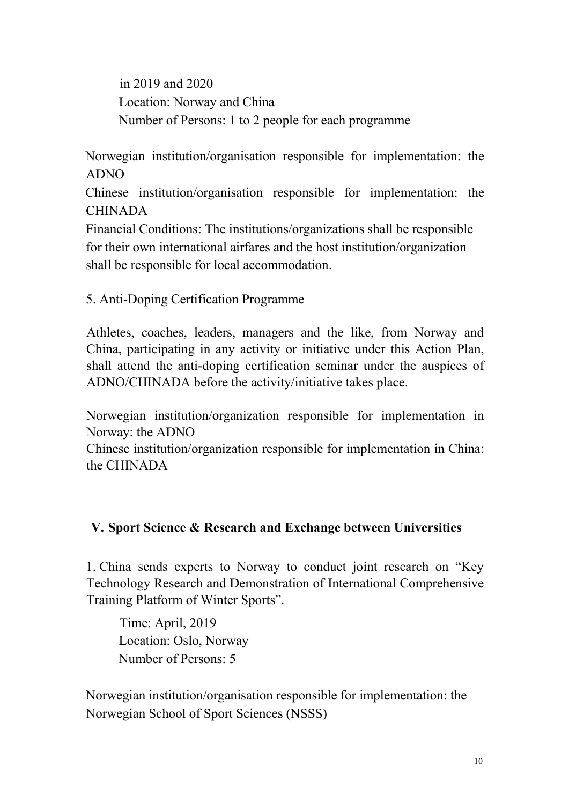in 2019 and 2020 Location: Norway and China Number of Persons: 1 to 2 people for each programme

Norwegian institution/organisation responsible for implementation: the ADNO

Chinese institution/organisation responsible for implementation: the CHINADA

Financial Conditions: The institutions/organizations shall be responsible for their own international airfares and the host institution/organization shall be responsible for local accommodation.

5. Anti-Doping Certification Programme

Athletes, coaches, leaders, managers and the like, from Norway and China, participating in any activity or initiative under this Action Plan, shall attend the anti-doping certification seminar under the auspices of ADNO/CHINADA before the activity/initiative takes place.

Norwegian institution/organization responsible for implementation in Norway: the ADNO

Chinese institution/organization responsible for implementation in China: the CHINADA

#### **V. Sport Science & Research and Exchange between Universities**

1. China sends experts to Norway to conduct joint research on "Key Technology Research and Demonstration of International Comprehensive Training Platform of Winter Sports".

Time: April, 2019 Location: Oslo, Norway Number of Persons: 5

Norwegian institution/organisation responsible for implementation: the Norwegian School of Sport Sciences (NSSS)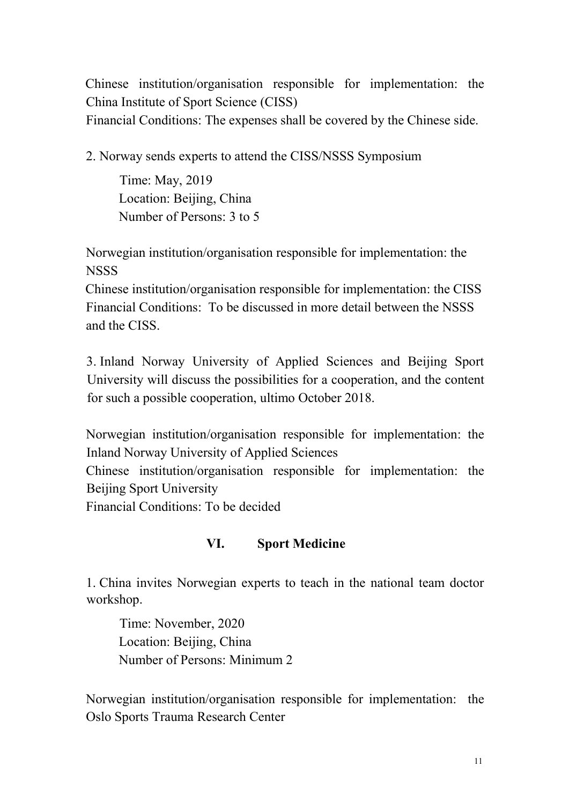Chinese institution/organisation responsible for implementation: the China Institute of Sport Science (CISS) Financial Conditions: The expenses shall be covered by the Chinese side.

2. Norway sends experts to attend the CISS/NSSS Symposium

Time: May, 2019 Location: Beijing, China Number of Persons: 3 to 5

Norwegian institution/organisation responsible for implementation: the **NSSS** 

Chinese institution/organisation responsible for implementation: the CISS Financial Conditions: To be discussed in more detail between the NSSS and the CISS.

3. Inland Norway University of Applied Sciences and Beijing Sport University will discuss the possibilities for a cooperation, and the content for such a possible cooperation, ultimo October 2018.

Norwegian institution/organisation responsible for implementation: the Inland Norway University of Applied Sciences

Chinese institution/organisation responsible for implementation: the Beijing Sport University

Financial Conditions: To be decided

### **VI. Sport Medicine**

1. China invites Norwegian experts to teach in the national team doctor workshop.

Time: November, 2020 Location: Beijing, China Number of Persons: Minimum 2

Norwegian institution/organisation responsible for implementation: the Oslo Sports Trauma Research Center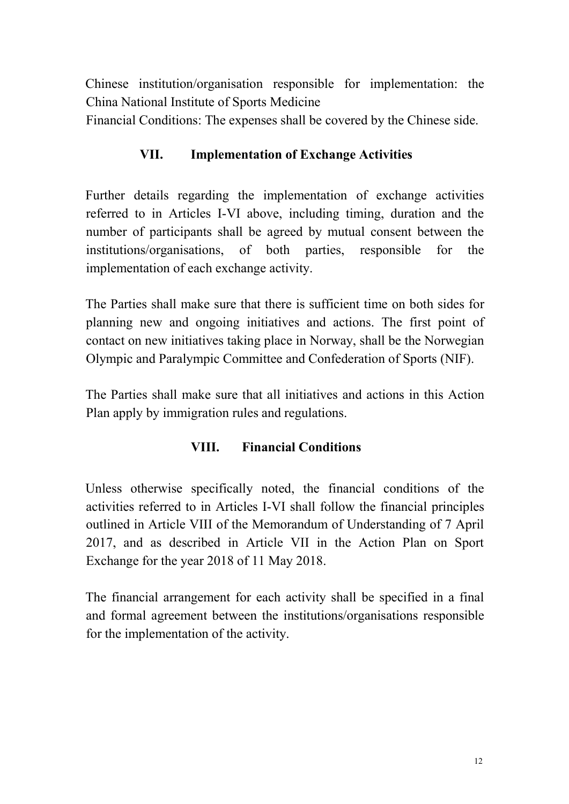Chinese institution/organisation responsible for implementation: the China National Institute of Sports Medicine

Financial Conditions: The expenses shall be covered by the Chinese side.

# **VII. Implementation of Exchange Activities**

Further details regarding the implementation of exchange activities referred to in Articles I-VI above, including timing, duration and the number of participants shall be agreed by mutual consent between the institutions/organisations, of both parties, responsible for the implementation of each exchange activity.

The Parties shall make sure that there is sufficient time on both sides for planning new and ongoing initiatives and actions. The first point of contact on new initiatives taking place in Norway, shall be the Norwegian Olympic and Paralympic Committee and Confederation of Sports (NIF).

The Parties shall make sure that all initiatives and actions in this Action Plan apply by immigration rules and regulations.

## **VIII. Financial Conditions**

Unless otherwise specifically noted, the financial conditions of the activities referred to in Articles I-VI shall follow the financial principles outlined in Article VIII of the Memorandum of Understanding of 7 April 2017, and as described in Article VII in the Action Plan on Sport Exchange for the year 2018 of 11 May 2018.

The financial arrangement for each activity shall be specified in a final and formal agreement between the institutions/organisations responsible for the implementation of the activity.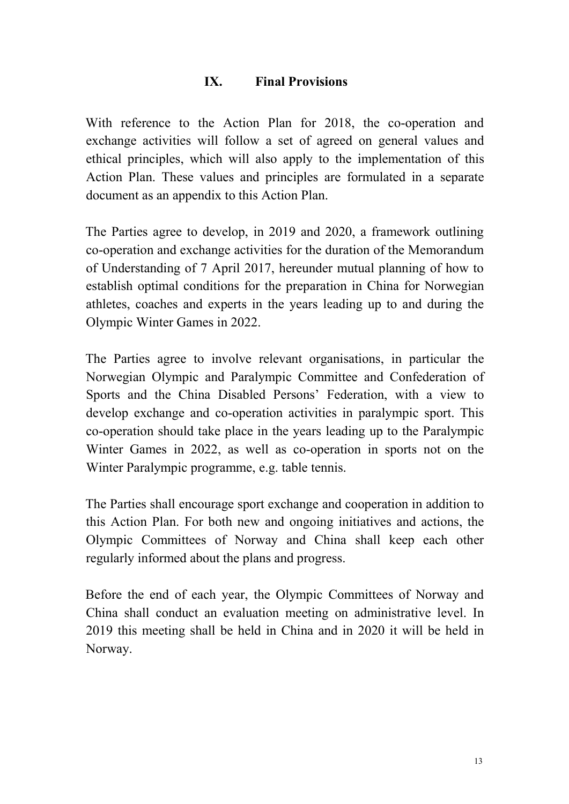#### **IX. Final Provisions**

With reference to the Action Plan for 2018, the co-operation and exchange activities will follow a set of agreed on general values and ethical principles, which will also apply to the implementation of this Action Plan. These values and principles are formulated in a separate document as an appendix to this Action Plan.

The Parties agree to develop, in 2019 and 2020, a framework outlining co-operation and exchange activities for the duration of the Memorandum of Understanding of 7 April 2017, hereunder mutual planning of how to establish optimal conditions for the preparation in China for Norwegian athletes, coaches and experts in the years leading up to and during the Olympic Winter Games in 2022.

The Parties agree to involve relevant organisations, in particular the Norwegian Olympic and Paralympic Committee and Confederation of Sports and the China Disabled Persons' Federation, with a view to develop exchange and co-operation activities in paralympic sport. This co-operation should take place in the years leading up to the Paralympic Winter Games in 2022, as well as co-operation in sports not on the Winter Paralympic programme, e.g. table tennis.

The Parties shall encourage sport exchange and cooperation in addition to this Action Plan. For both new and ongoing initiatives and actions, the Olympic Committees of Norway and China shall keep each other regularly informed about the plans and progress.

Before the end of each year, the Olympic Committees of Norway and China shall conduct an evaluation meeting on administrative level. In 2019 this meeting shall be held in China and in 2020 it will be held in Norway.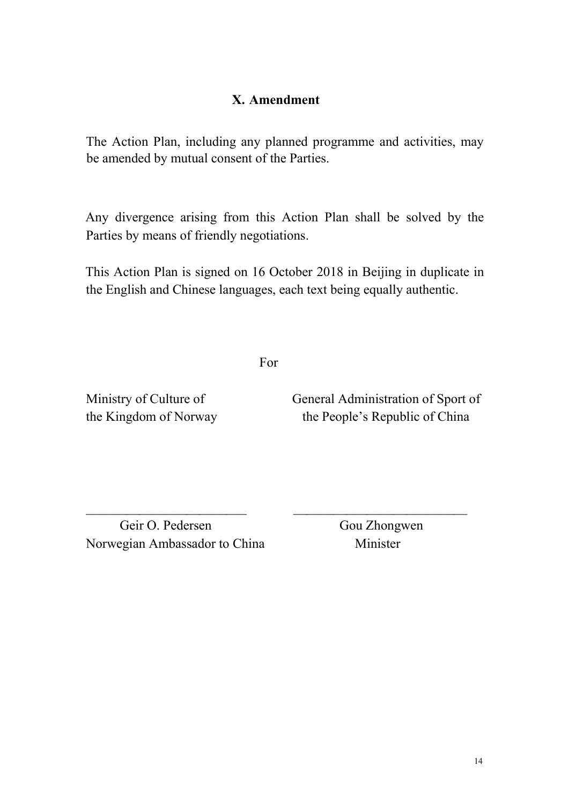### **X. Amendment**

The Action Plan, including any planned programme and activities, may be amended by mutual consent of the Parties.

Any divergence arising from this Action Plan shall be solved by the Parties by means of friendly negotiations.

This Action Plan is signed on 16 October 2018 in Beijing in duplicate in the English and Chinese languages, each text being equally authentic.

For

Ministry of Culture of General Administration of Sport of the Kingdom of Norway the People's Republic of China

Geir O. Pedersen Gou Zhongwen Norwegian Ambassador to China Minister

 $\overline{\phantom{a}}$  , and the contribution of the contribution of  $\overline{\phantom{a}}$  , and the contribution of  $\overline{\phantom{a}}$  , and  $\overline{\phantom{a}}$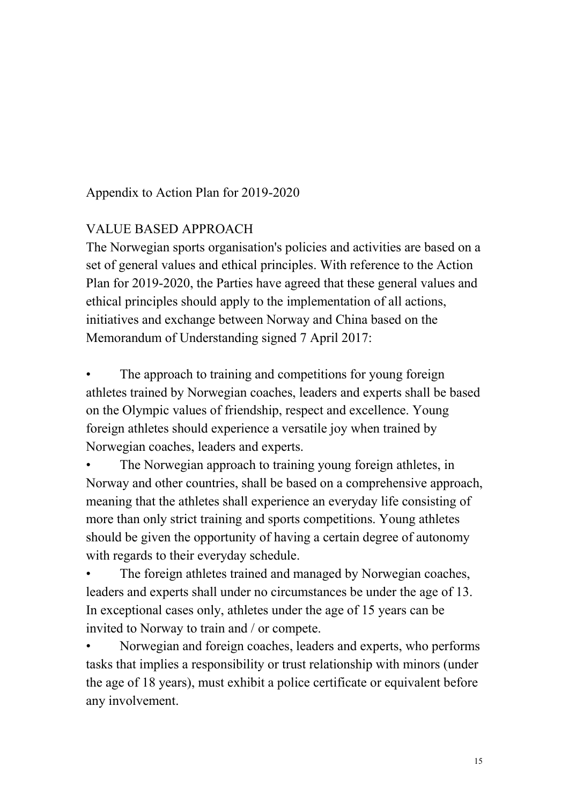Appendix to Action Plan for 2019-2020

### VALUE BASED APPROACH

The Norwegian sports organisation's policies and activities are based on a set of general values and ethical principles. With reference to the Action Plan for 2019-2020, the Parties have agreed that these general values and ethical principles should apply to the implementation of all actions, initiatives and exchange between Norway and China based on the Memorandum of Understanding signed 7 April 2017:

The approach to training and competitions for young foreign athletes trained by Norwegian coaches, leaders and experts shallbe based on the Olympic values of friendship, respect and excellence. Young foreign athletes should experience a versatile joy when trained by Norwegian coaches, leaders and experts.

The Norwegian approach to training young foreign athletes, in Norway and other countries, shall be based on a comprehensive approach, meaning that the athletes shall experience an everyday life consisting of more than only strict training and sports competitions. Young athletes should be given the opportunity of having a certain degree of autonomy with regards to their everyday schedule.

The foreign athletes trained and managed by Norwegian coaches, leaders and experts shall under no circumstances be under the age of 13. In exceptional cases only, athletes under the age of 15 years can be invited to Norway to train and / or compete.

• Norwegian and foreign coaches, leaders and experts, who performs tasks that implies a responsibility or trust relationship with minors (under the age of 18 years), must exhibit a police certificate or equivalent before any involvement.